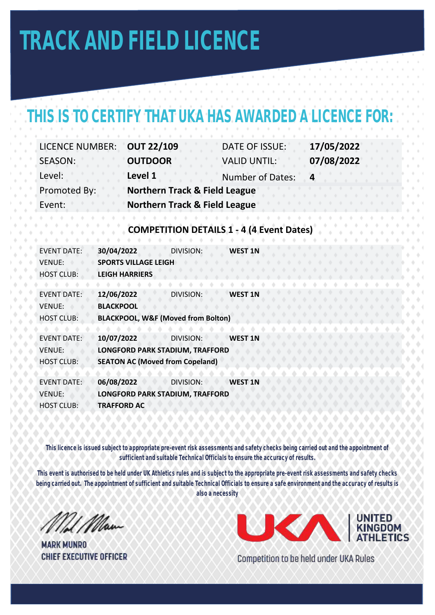# **TRACK AND FIELD LICENCE**

### THIS IS TO CERTIFY THAT UKA HAS AWARDED A LICENCE FOR

| <b>LICENCE NUMBER:</b> | <b>OUT 22/109</b>                        | DATE OF ISSUE:          | 17/05/2022     |
|------------------------|------------------------------------------|-------------------------|----------------|
| SEASON:                | <b>OUTDOOR</b>                           | <b>VALID UNTIL:</b>     | 07/08/2022     |
| Level:                 | Level 1                                  | <b>Number of Dates:</b> | $\overline{a}$ |
| Promoted By:           | <b>Northern Track &amp; Field League</b> |                         |                |
| Event:                 | <b>Northern Track &amp; Field League</b> |                         |                |

#### **COMPETITION DETAILS 1 - 4 (4 Event Dates)**

| <b>EVENT DATE:</b> | 30/04/2022                                    | DIVISION:        | <b>WEST 1N</b> |
|--------------------|-----------------------------------------------|------------------|----------------|
| <b>VENUE:</b>      | <b>SPORTS VILLAGE LEIGH</b>                   |                  |                |
| <b>HOST CLUB:</b>  | <b>LEIGH HARRIERS</b>                         |                  |                |
|                    |                                               |                  |                |
| <b>FVENT DATE:</b> | 12/06/2022                                    | <b>DIVISION:</b> | <b>WEST 1N</b> |
| <b>VENUE:</b>      | <b>BLACKPOOL</b>                              |                  |                |
| <b>HOST CLUB:</b>  | <b>BLACKPOOL, W&amp;F (Moved from Bolton)</b> |                  |                |
|                    |                                               |                  |                |
| <b>FVENT DATE:</b> | 10/07/2022                                    | <b>DIVISION:</b> | <b>WEST 1N</b> |
| <b>VENUE:</b>      | LONGFORD PARK STADIUM, TRAFFORD               |                  |                |
| <b>HOST CLUB:</b>  | <b>SEATON AC (Moved from Copeland)</b>        |                  |                |
|                    |                                               |                  |                |
| <b>EVENT DATE:</b> | 06/08/2022                                    | DIVISION:        | <b>WEST 1N</b> |
| <b>VENUE:</b>      | <b>LONGFORD PARK STADIUM, TRAFFORD</b>        |                  |                |
| <b>HOST CLUB:</b>  | <b>TRAFFORD AC</b>                            |                  |                |
|                    |                                               |                  |                |

**This licence is issued subject to appropriate pre-event risk assessments and safety checks being carried out and the appointment of sufficient and suitable Technical Officials to ensure the accuracy of results.** 

**This event is authorised to be held under UK Athletics rules and is subject to the appropriate pre-event risk assessments and safety checks being carried out. The appointment of sufficient and suitable Technical Officials to ensure a safe environment and the accuracy of results is also a necessity**

Mil Man

**MARK MUNRO CHIEF EXECUTIVE OFFICER** 



Competition to be held under UKA Rules